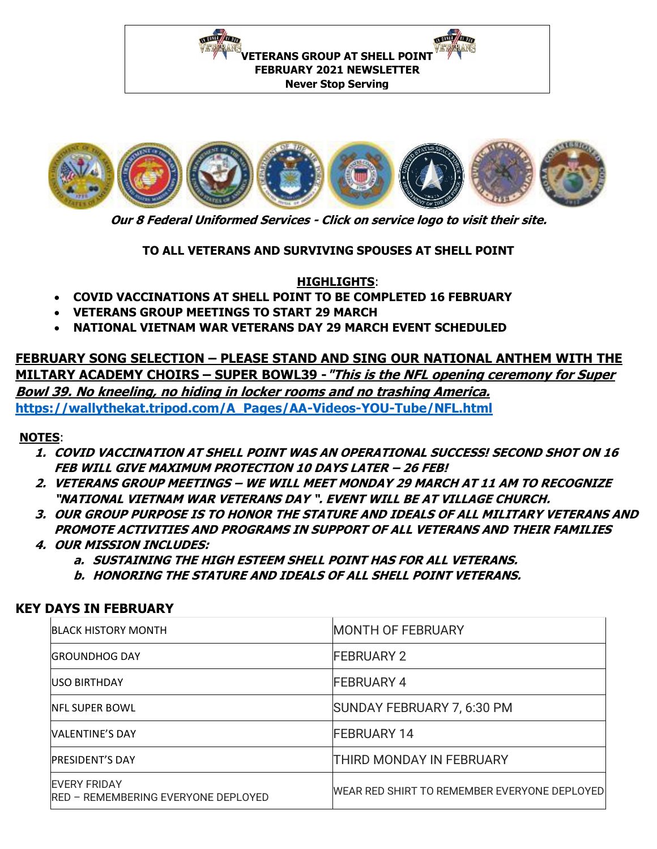**NEWSTERN PRESS** IN HELE / SI DUE **VETERANS GROUP AT SHELL POINT FEBRUARY 2021 NEWSLETTER Never Stop Serving** 



**Our 8 Federal Uniformed Services - Click on service logo to visit their site.**

**TO ALL VETERANS AND SURVIVING SPOUSES AT SHELL POINT**

**HIGHLIGHTS**:

- **COVID VACCINATIONS AT SHELL POINT TO BE COMPLETED 16 FEBRUARY**
- **VETERANS GROUP MEETINGS TO START 29 MARCH**
- **NATIONAL VIETNAM WAR VETERANS DAY 29 MARCH EVENT SCHEDULED**

**FEBRUARY SONG SELECTION – PLEASE STAND AND SING OUR NATIONAL ANTHEM WITH THE MILTARY ACADEMY CHOIRS – SUPER BOWL39 -"This is the NFL opening ceremony for Super Bowl 39. No kneeling, no hiding in locker rooms and no trashing America. [https://wallythekat.tripod.com/A\\_Pages/AA-Videos-YOU-Tube/NFL.html](https://wallythekat.tripod.com/A_Pages/AA-Videos-YOU-Tube/NFL.html)**

### **NOTES**:

- **1. COVID VACCINATION AT SHELL POINT WAS AN OPERATIONAL SUCCESS! SECOND SHOT ON 16 FEB WILL GIVE MAXIMUM PROTECTION 10 DAYS LATER – 26 FEB!**
- **2. VETERANS GROUP MEETINGS – WE WILL MEET MONDAY 29 MARCH AT 11 AM TO RECOGNIZE "NATIONAL VIETNAM WAR VETERANS DAY ". EVENT WILL BE AT VILLAGE CHURCH.**
- **3. OUR GROUP PURPOSE IS TO HONOR THE STATURE AND IDEALS OF ALL MILITARY VETERANS AND PROMOTE ACTIVITIES AND PROGRAMS IN SUPPORT OF ALL VETERANS AND THEIR FAMILIES**
- **4. OUR MISSION INCLUDES:** 
	- **a. SUSTAINING THE HIGH ESTEEM SHELL POINT HAS FOR ALL VETERANS.**
	- **b. HONORING THE STATURE AND IDEALS OF ALL SHELL POINT VETERANS.**

### **KEY DAYS IN FEBRUARY**

| <b>BLACK HISTORY MONTH</b>                                         | <b>MONTH OF FEBRUARY</b>                     |
|--------------------------------------------------------------------|----------------------------------------------|
| <b>GROUNDHOG DAY</b>                                               | <b>FEBRUARY 2</b>                            |
| <b>USO BIRTHDAY</b>                                                | <b>FEBRUARY 4</b>                            |
| <b>NFL SUPER BOWL</b>                                              | SUNDAY FEBRUARY 7, 6:30 PM                   |
| <b>VALENTINE'S DAY</b>                                             | <b>FEBRUARY 14</b>                           |
| <b>PRESIDENT'S DAY</b>                                             | <b>THIRD MONDAY IN FEBRUARY</b>              |
| <b>EVERY FRIDAY</b><br><b>IRED - REMEMBERING EVERYONE DEPLOYED</b> | WEAR RED SHIRT TO REMEMBER EVERYONE DEPLOYED |